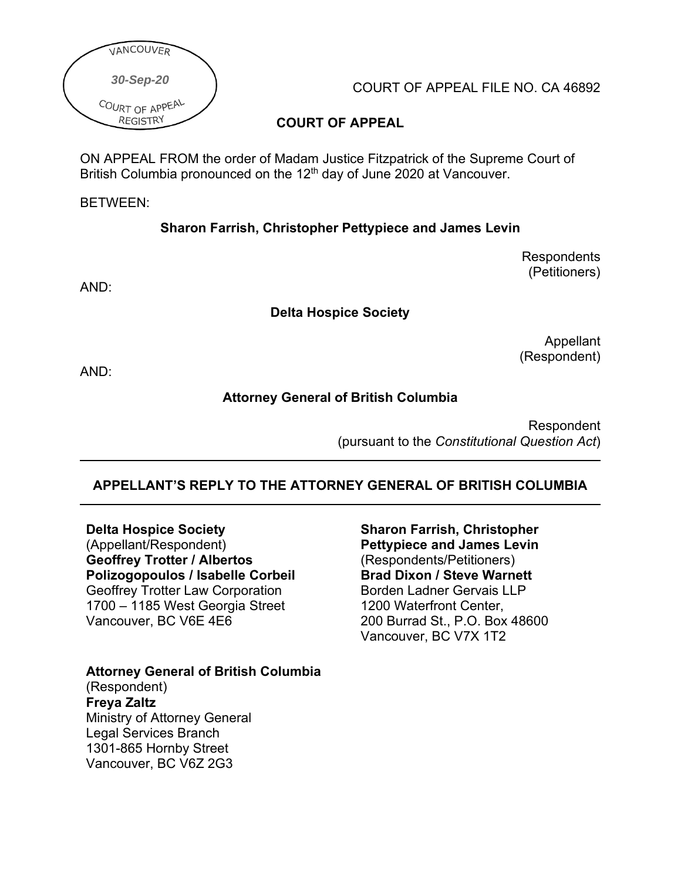

COURT OF APPEAL FILE NO. CA 46892

## **COURT OF APPEAL**

ON APPEAL FROM the order of Madam Justice Fitzpatrick of the Supreme Court of British Columbia pronounced on the 12<sup>th</sup> day of June 2020 at Vancouver.

#### BETWEEN:

### **Sharon Farrish, Christopher Pettypiece and James Levin**

**Respondents** (Petitioners)

AND:

#### **Delta Hospice Society**

Appellant (Respondent)

AND:

#### **Attorney General of British Columbia**

Respondent (pursuant to the *Constitutional Question Act*)

### **APPELLANT'S REPLY TO THE ATTORNEY GENERAL OF BRITISH COLUMBIA**

**Delta Hospice Society** (Appellant/Respondent) **Geoffrey Trotter / Albertos Polizogopoulos / Isabelle Corbeil** Geoffrey Trotter Law Corporation 1700 – 1185 West Georgia Street Vancouver, BC V6E 4E6

**Attorney General of British Columbia** (Respondent) **Freya Zaltz** Ministry of Attorney General Legal Services Branch 1301-865 Hornby Street Vancouver, BC V6Z 2G3

**Sharon Farrish, Christopher Pettypiece and James Levin**  (Respondents/Petitioners) **Brad Dixon / Steve Warnett** Borden Ladner Gervais LLP 1200 Waterfront Center, 200 Burrad St., P.O. Box 48600 Vancouver, BC V7X 1T2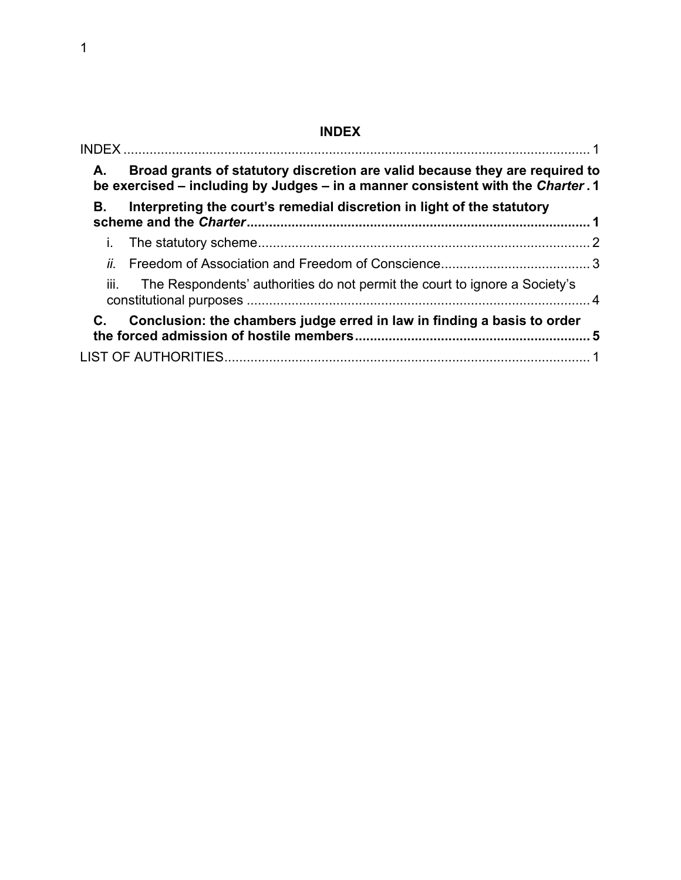# **INDEX**

<span id="page-1-0"></span>

| А.   | Broad grants of statutory discretion are valid because they are required to<br>be exercised – including by Judges – in a manner consistent with the Charter. 1 |  |
|------|----------------------------------------------------------------------------------------------------------------------------------------------------------------|--|
| В.   | Interpreting the court's remedial discretion in light of the statutory                                                                                         |  |
|      |                                                                                                                                                                |  |
|      |                                                                                                                                                                |  |
| iii. | The Respondents' authorities do not permit the court to ignore a Society's                                                                                     |  |
| C.   | Conclusion: the chambers judge erred in law in finding a basis to order                                                                                        |  |
|      |                                                                                                                                                                |  |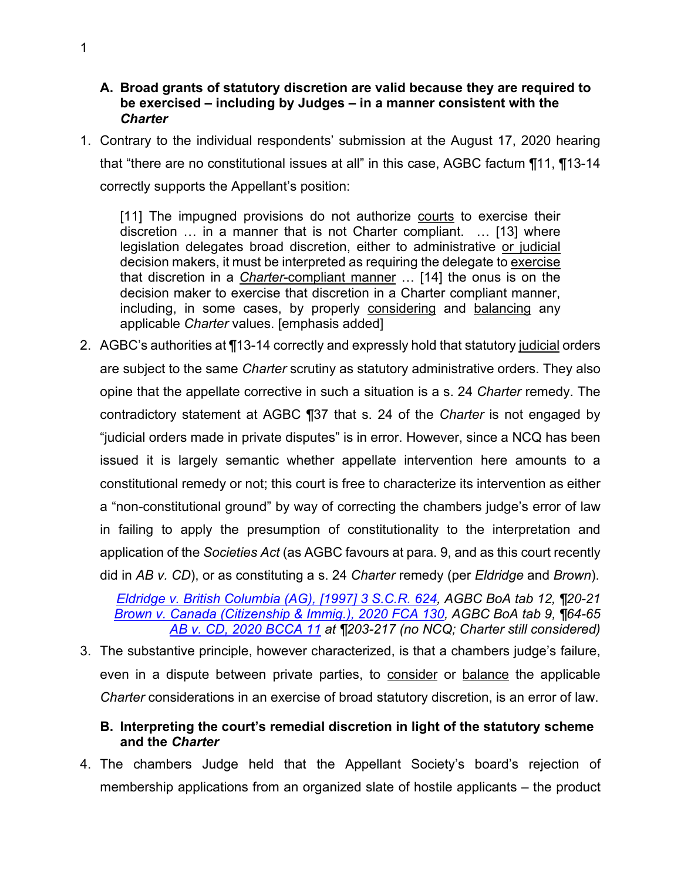#### <span id="page-2-0"></span>**A. Broad grants of statutory discretion are valid because they are required to be exercised – including by Judges – in a manner consistent with the**  *Charter*

1. Contrary to the individual respondents' submission at the August 17, 2020 hearing that "there are no constitutional issues at all" in this case, AGBC factum ¶11, ¶13-14 correctly supports the Appellant's position:

[11] The impugned provisions do not authorize courts to exercise their discretion … in a manner that is not Charter compliant. … [13] where legislation delegates broad discretion, either to administrative or judicial decision makers, it must be interpreted as requiring the delegate to exercise that discretion in a *Charter*-compliant manner … [14] the onus is on the decision maker to exercise that discretion in a Charter compliant manner, including, in some cases, by properly considering and balancing any applicable *Charter* values. [emphasis added]

2. AGBC's authorities at ¶13-14 correctly and expressly hold that statutory judicial orders are subject to the same *Charter* scrutiny as statutory administrative orders. They also opine that the appellate corrective in such a situation is a s. 24 *Charter* remedy. The contradictory statement at AGBC ¶37 that s. 24 of the *Charter* is not engaged by "judicial orders made in private disputes" is in error. However, since a NCQ has been issued it is largely semantic whether appellate intervention here amounts to a constitutional remedy or not; this court is free to characterize its intervention as either a "non-constitutional ground" by way of correcting the chambers judge's error of law in failing to apply the presumption of constitutionality to the interpretation and application of the *Societies Act* (as AGBC favours at para. 9, and as this court recently did in *AB v. CD*), or as constituting a s. 24 *Charter* remedy (per *Eldridge* and *Brown*).

*[Eldridge v. British Columbia \(AG\), \[1997\] 3 S.C.R. 624,](https://www.canlii.org/en/ca/scc/doc/1997/1997canlii327/1997canlii327.html?autocompleteStr=Eldridge%20v.%20British%20Columbia%20&autocompletePos=1) AGBC BoA tab 12, ¶20-21 [Brown v. Canada \(Citizenship](https://www.canlii.org/en/ca/fca/doc/2020/2020fca130/2020fca130.html?autocompleteStr=2020%20FCA%20130&autocompletePos=1) & Immig.), 2020 FCA 130, AGBC BoA tab 9, ¶64-65 [AB v. CD, 2020 BCCA 11](http://canlii.ca/t/j4gnl) at ¶203-217 (no NCQ; Charter still considered)*

3. The substantive principle, however characterized, is that a chambers judge's failure, even in a dispute between private parties, to consider or balance the applicable *Charter* considerations in an exercise of broad statutory discretion, is an error of law.

### <span id="page-2-1"></span>**B. Interpreting the court's remedial discretion in light of the statutory scheme and the** *Charter*

4. The chambers Judge held that the Appellant Society's board's rejection of membership applications from an organized slate of hostile applicants – the product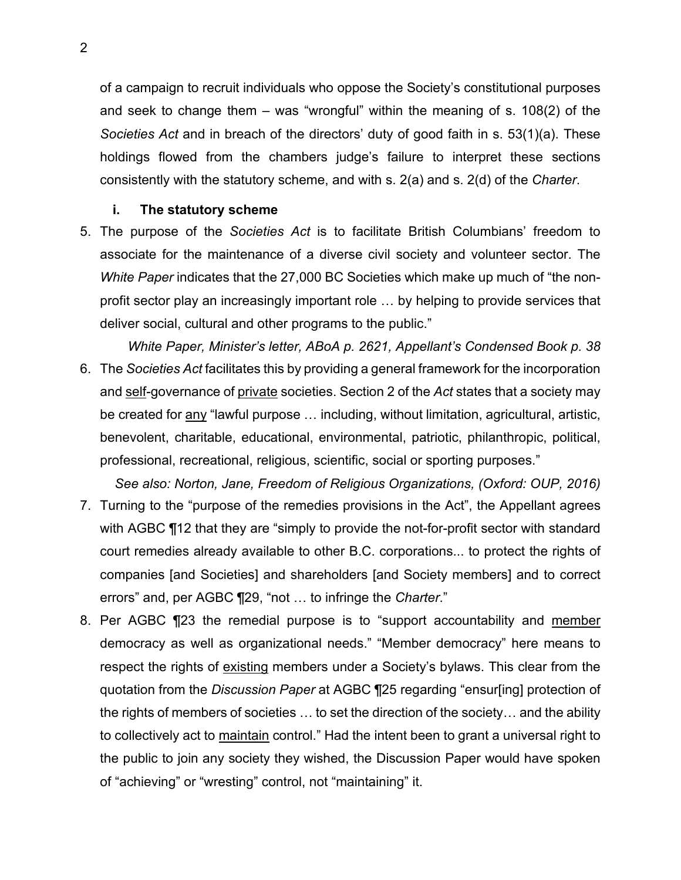of a campaign to recruit individuals who oppose the Society's constitutional purposes and seek to change them – was "wrongful" within the meaning of s. 108(2) of the *Societies Act* and in breach of the directors' duty of good faith in s. 53(1)(a). These holdings flowed from the chambers judge's failure to interpret these sections consistently with the statutory scheme, and with s. 2(a) and s. 2(d) of the *Charter*.

#### **i. The statutory scheme**

- <span id="page-3-0"></span>5. The purpose of the *Societies Act* is to facilitate British Columbians' freedom to associate for the maintenance of a diverse civil society and volunteer sector. The *White Paper* indicates that the 27,000 BC Societies which make up much of "the nonprofit sector play an increasingly important role … by helping to provide services that deliver social, cultural and other programs to the public."
- *White Paper, Minister's letter, ABoA p. 2621, Appellant's Condensed Book p. 38* 6. The *Societies Act* facilitates this by providing a general framework for the incorporation and self-governance of private societies. Section 2 of the *Act* states that a society may be created for <u>any</u> "lawful purpose ... including, without limitation, agricultural, artistic, benevolent, charitable, educational, environmental, patriotic, philanthropic, political, professional, recreational, religious, scientific, social or sporting purposes."
- *See also: Norton, Jane, Freedom of Religious Organizations, (Oxford: OUP, 2016)* 7. Turning to the "purpose of the remedies provisions in the Act", the Appellant agrees with AGBC ¶12 that they are "simply to provide the not-for-profit sector with standard court remedies already available to other B.C. corporations... to protect the rights of companies [and Societies] and shareholders [and Society members] and to correct errors" and, per AGBC ¶29, "not … to infringe the *Charter*."
- 8. Per AGBC ¶23 the remedial purpose is to "support accountability and member democracy as well as organizational needs." "Member democracy" here means to respect the rights of existing members under a Society's bylaws. This clear from the quotation from the *Discussion Paper* at AGBC ¶25 regarding "ensur[ing] protection of the rights of members of societies … to set the direction of the society… and the ability to collectively act to maintain control." Had the intent been to grant a universal right to the public to join any society they wished, the Discussion Paper would have spoken of "achieving" or "wresting" control, not "maintaining" it.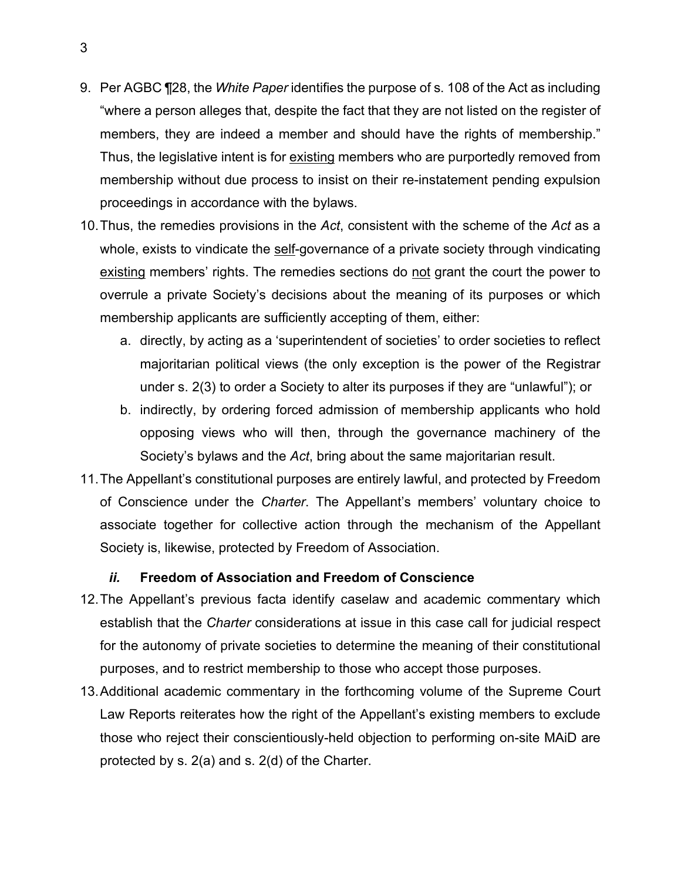- 9. Per AGBC ¶28, the *White Paper* identifies the purpose of s. 108 of the Act as including "where a person alleges that, despite the fact that they are not listed on the register of members, they are indeed a member and should have the rights of membership." Thus, the legislative intent is for existing members who are purportedly removed from membership without due process to insist on their re-instatement pending expulsion proceedings in accordance with the bylaws.
- 10.Thus, the remedies provisions in the *Act*, consistent with the scheme of the *Act* as a whole, exists to vindicate the self-governance of a private society through vindicating existing members' rights. The remedies sections do not grant the court the power to overrule a private Society's decisions about the meaning of its purposes or which membership applicants are sufficiently accepting of them, either:
	- a. directly, by acting as a 'superintendent of societies' to order societies to reflect majoritarian political views (the only exception is the power of the Registrar under s. 2(3) to order a Society to alter its purposes if they are "unlawful"); or
	- b. indirectly, by ordering forced admission of membership applicants who hold opposing views who will then, through the governance machinery of the Society's bylaws and the *Act*, bring about the same majoritarian result.
- 11.The Appellant's constitutional purposes are entirely lawful, and protected by Freedom of Conscience under the *Charter*. The Appellant's members' voluntary choice to associate together for collective action through the mechanism of the Appellant Society is, likewise, protected by Freedom of Association.

#### *ii.* **Freedom of Association and Freedom of Conscience**

- <span id="page-4-0"></span>12.The Appellant's previous facta identify caselaw and academic commentary which establish that the *Charter* considerations at issue in this case call for judicial respect for the autonomy of private societies to determine the meaning of their constitutional purposes, and to restrict membership to those who accept those purposes.
- 13.Additional academic commentary in the forthcoming volume of the Supreme Court Law Reports reiterates how the right of the Appellant's existing members to exclude those who reject their conscientiously-held objection to performing on-site MAiD are protected by s. 2(a) and s. 2(d) of the Charter.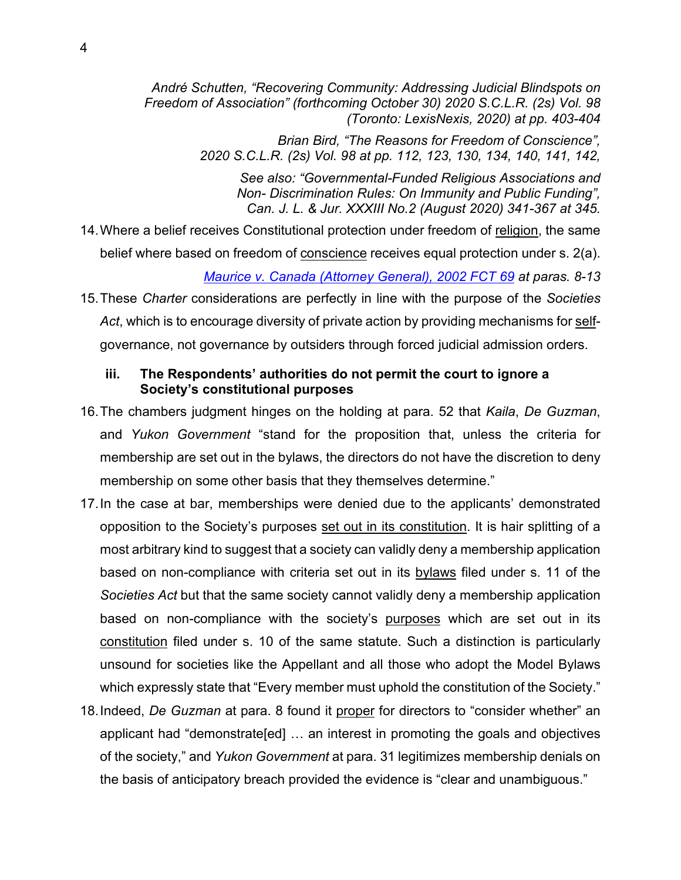*André Schutten, "Recovering Community: Addressing Judicial Blindspots on Freedom of Association" (forthcoming October 30) 2020 S.C.L.R. (2s) Vol. 98 (Toronto: LexisNexis, 2020) at pp. 403-404* 

> *Brian Bird, "The Reasons for Freedom of Conscience", 2020 S.C.L.R. (2s) Vol. 98 at pp. 112, 123, 130, 134, 140, 141, 142,*

*See also: "Governmental-Funded Religious Associations and Non- Discrimination Rules: On Immunity and Public Funding", Can. J. L. & Jur. XXXIII No.2 (August 2020) 341-367 at 345.*

- 14.Where a belief receives Constitutional protection under freedom of religion, the same belief where based on freedom of conscience receives equal protection under s. 2(a). *[Maurice v. Canada \(Attorney General\), 2002 FCT 69](https://www.canlii.org/en/ca/fct/doc/2002/2002fct69/2002fct69.html?autocompleteStr=2002%20FCT%2069%20&autocompletePos=1) at paras. 8-13*
- 15.These *Charter* considerations are perfectly in line with the purpose of the *Societies Act*, which is to encourage diversity of private action by providing mechanisms for selfgovernance, not governance by outsiders through forced judicial admission orders.

#### <span id="page-5-0"></span>**iii. The Respondents' authorities do not permit the court to ignore a Society's constitutional purposes**

- 16.The chambers judgment hinges on the holding at para. 52 that *Kaila*, *De Guzman*, and *Yukon Government* "stand for the proposition that, unless the criteria for membership are set out in the bylaws, the directors do not have the discretion to deny membership on some other basis that they themselves determine."
- 17.In the case at bar, memberships were denied due to the applicants' demonstrated opposition to the Society's purposes set out in its constitution. It is hair splitting of a most arbitrary kind to suggest that a society can validly deny a membership application based on non-compliance with criteria set out in its bylaws filed under s. 11 of the *Societies Act* but that the same society cannot validly deny a membership application based on non-compliance with the society's purposes which are set out in its constitution filed under s. 10 of the same statute. Such a distinction is particularly unsound for societies like the Appellant and all those who adopt the Model Bylaws which expressly state that "Every member must uphold the constitution of the Society."
- 18.Indeed, *De Guzman* at para. 8 found it proper for directors to "consider whether" an applicant had "demonstrate[ed] … an interest in promoting the goals and objectives of the society," and *Yukon Government* at para. 31 legitimizes membership denials on the basis of anticipatory breach provided the evidence is "clear and unambiguous."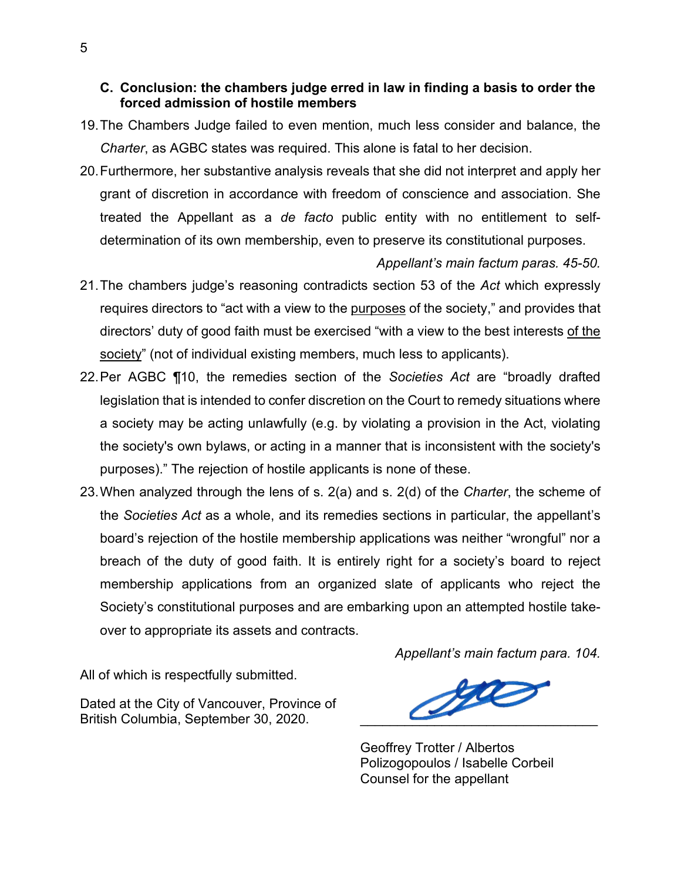#### <span id="page-6-0"></span>**C. Conclusion: the chambers judge erred in law in finding a basis to order the forced admission of hostile members**

- 19.The Chambers Judge failed to even mention, much less consider and balance, the *Charter*, as AGBC states was required. This alone is fatal to her decision.
- 20.Furthermore, her substantive analysis reveals that she did not interpret and apply her grant of discretion in accordance with freedom of conscience and association. She treated the Appellant as a *de facto* public entity with no entitlement to selfdetermination of its own membership, even to preserve its constitutional purposes.

#### *Appellant's main factum paras. 45-50.*

- 21.The chambers judge's reasoning contradicts section 53 of the *Act* which expressly requires directors to "act with a view to the purposes of the society," and provides that directors' duty of good faith must be exercised "with a view to the best interests of the society" (not of individual existing members, much less to applicants).
- 22.Per AGBC ¶10, the remedies section of the *Societies Act* are "broadly drafted legislation that is intended to confer discretion on the Court to remedy situations where a society may be acting unlawfully (e.g. by violating a provision in the Act, violating the society's own bylaws, or acting in a manner that is inconsistent with the society's purposes)." The rejection of hostile applicants is none of these.
- 23.When analyzed through the lens of s. 2(a) and s. 2(d) of the *Charter*, the scheme of the *Societies Act* as a whole, and its remedies sections in particular, the appellant's board's rejection of the hostile membership applications was neither "wrongful" nor a breach of the duty of good faith. It is entirely right for a society's board to reject membership applications from an organized slate of applicants who reject the Society's constitutional purposes and are embarking upon an attempted hostile takeover to appropriate its assets and contracts.

*Appellant's main factum para. 104.*

All of which is respectfully submitted.

Dated at the City of Vancouver, Province of Dated at the City of Vancouver, Province of<br>British Columbia, September 30, 2020.

Geoffrey Trotter / Albertos Polizogopoulos / Isabelle Corbeil Counsel for the appellant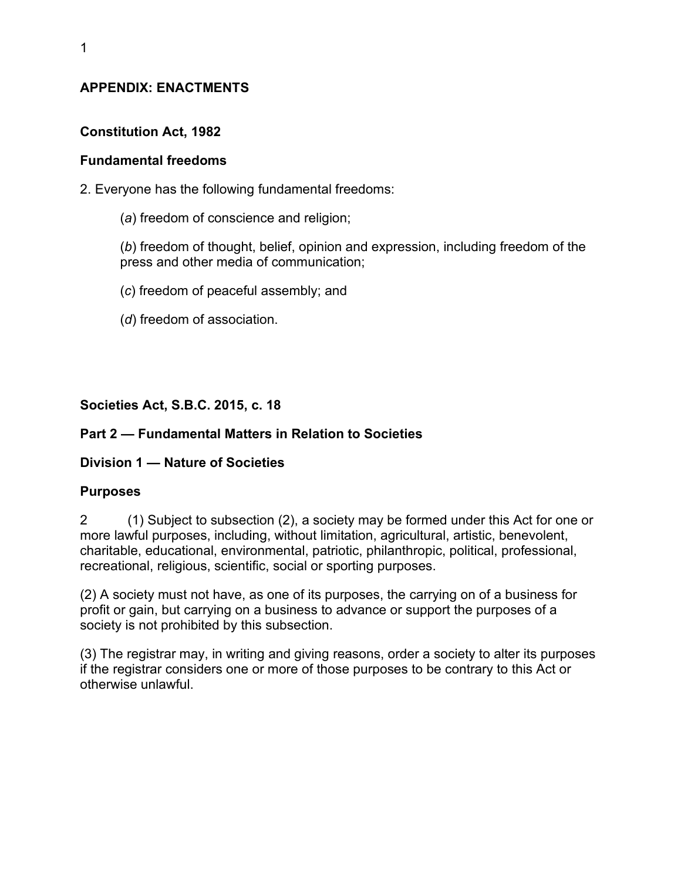## **APPENDIX: ENACTMENTS**

## **Constitution Act, 1982**

### **Fundamental freedoms**

- 2. Everyone has the following fundamental freedoms:
	- (*a*) freedom of conscience and religion;

(*b*) freedom of thought, belief, opinion and expression, including freedom of the press and other media of communication;

- (*c*) freedom of peaceful assembly; and
- (*d*) freedom of association.

## **Societies Act, S.B.C. 2015, c. 18**

### **Part 2 — Fundamental Matters in Relation to Societies**

## **Division 1 — Nature of Societies**

### **Purposes**

2 (1) Subject to subsection (2), a society may be formed under this Act for one or more lawful purposes, including, without limitation, agricultural, artistic, benevolent, charitable, educational, environmental, patriotic, philanthropic, political, professional, recreational, religious, scientific, social or sporting purposes.

(2) A society must not have, as one of its purposes, the carrying on of a business for profit or gain, but carrying on a business to advance or support the purposes of a society is not prohibited by this subsection.

(3) The registrar may, in writing and giving reasons, order a society to alter its purposes if the registrar considers one or more of those purposes to be contrary to this Act or otherwise unlawful.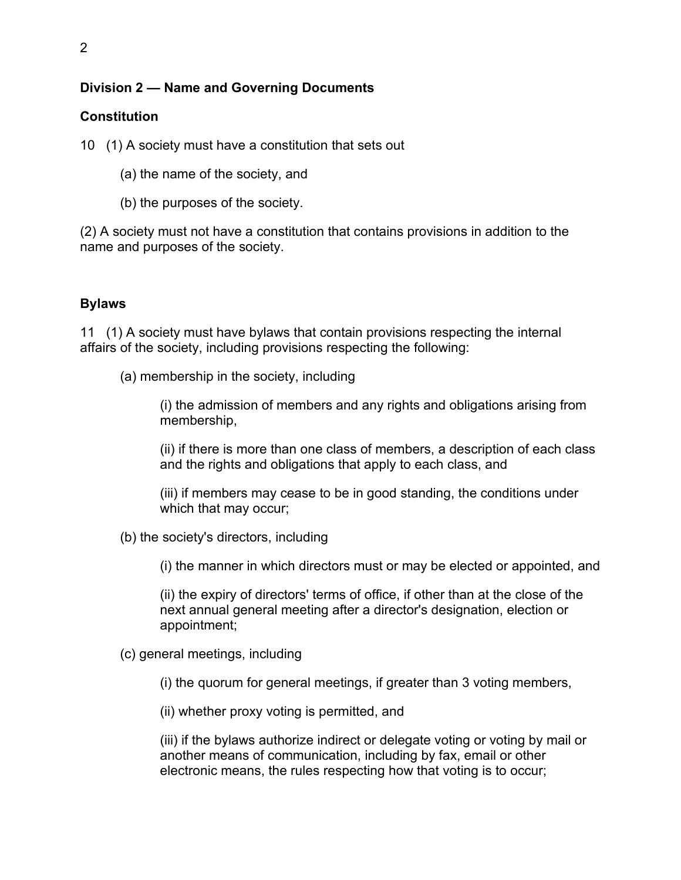## **Division 2 — Name and Governing Documents**

### **Constitution**

10 (1) A society must have a constitution that sets out

- (a) the name of the society, and
- (b) the purposes of the society.

(2) A society must not have a constitution that contains provisions in addition to the name and purposes of the society.

### **Bylaws**

11 (1) A society must have bylaws that contain provisions respecting the internal affairs of the society, including provisions respecting the following:

(a) membership in the society, including

(i) the admission of members and any rights and obligations arising from membership,

(ii) if there is more than one class of members, a description of each class and the rights and obligations that apply to each class, and

(iii) if members may cease to be in good standing, the conditions under which that may occur;

(b) the society's directors, including

(i) the manner in which directors must or may be elected or appointed, and

(ii) the expiry of directors' terms of office, if other than at the close of the next annual general meeting after a director's designation, election or appointment;

(c) general meetings, including

(i) the quorum for general meetings, if greater than 3 voting members,

(ii) whether proxy voting is permitted, and

(iii) if the bylaws authorize indirect or delegate voting or voting by mail or another means of communication, including by fax, email or other electronic means, the rules respecting how that voting is to occur;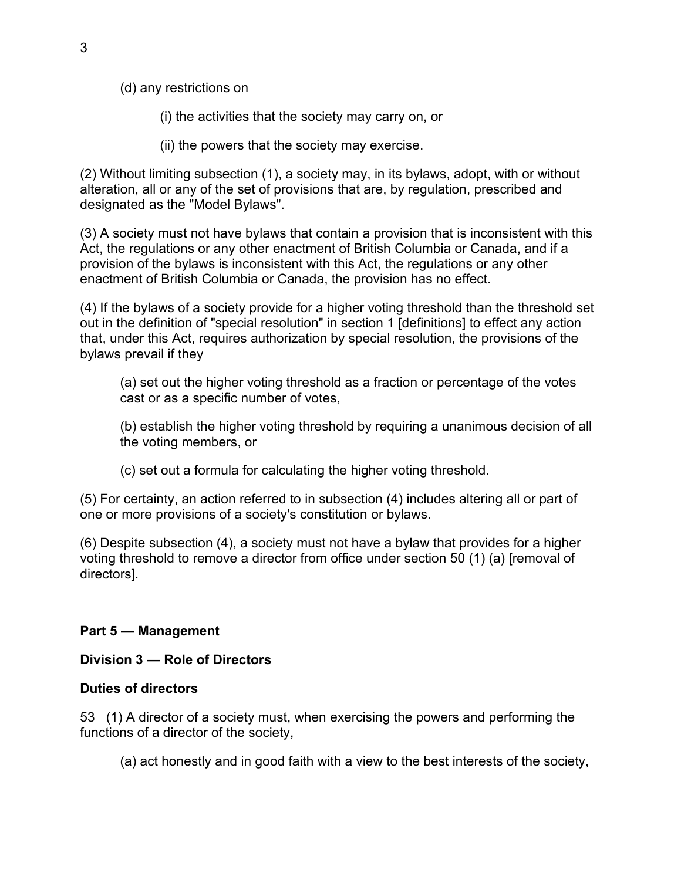(d) any restrictions on

(i) the activities that the society may carry on, or

(ii) the powers that the society may exercise.

(2) Without limiting subsection (1), a society may, in its bylaws, adopt, with or without alteration, all or any of the set of provisions that are, by regulation, prescribed and designated as the "Model Bylaws".

(3) A society must not have bylaws that contain a provision that is inconsistent with this Act, the regulations or any other enactment of British Columbia or Canada, and if a provision of the bylaws is inconsistent with this Act, the regulations or any other enactment of British Columbia or Canada, the provision has no effect.

(4) If the bylaws of a society provide for a higher voting threshold than the threshold set out in the definition of "special resolution" in section 1 [definitions] to effect any action that, under this Act, requires authorization by special resolution, the provisions of the bylaws prevail if they

(a) set out the higher voting threshold as a fraction or percentage of the votes cast or as a specific number of votes,

(b) establish the higher voting threshold by requiring a unanimous decision of all the voting members, or

(c) set out a formula for calculating the higher voting threshold.

(5) For certainty, an action referred to in subsection (4) includes altering all or part of one or more provisions of a society's constitution or bylaws.

(6) Despite subsection (4), a society must not have a bylaw that provides for a higher voting threshold to remove a director from office under section 50 (1) (a) [removal of directors].

## **Part 5 — Management**

### **Division 3 — Role of Directors**

### **Duties of directors**

53 (1) A director of a society must, when exercising the powers and performing the functions of a director of the society,

(a) act honestly and in good faith with a view to the best interests of the society,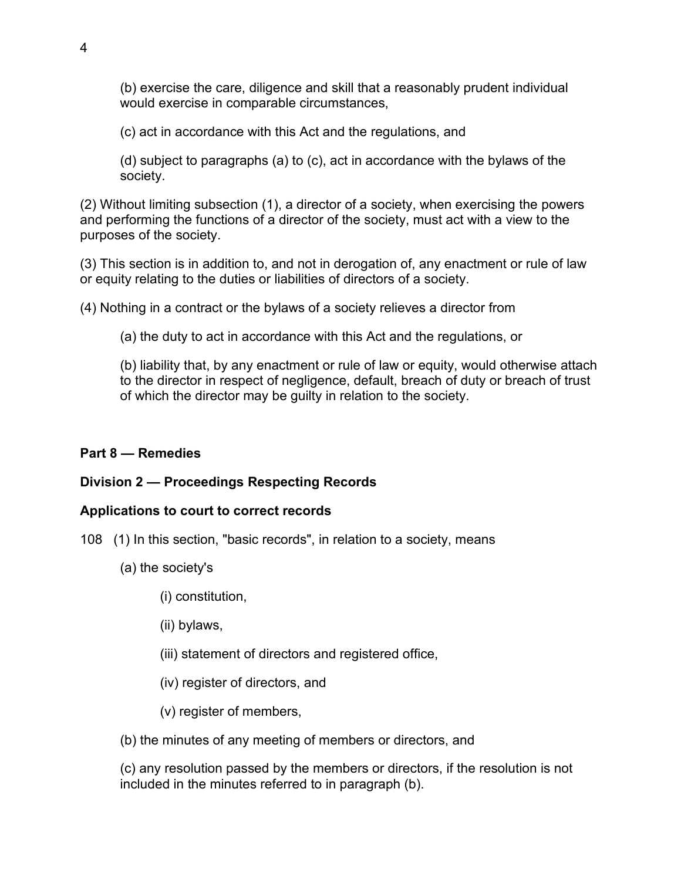(b) exercise the care, diligence and skill that a reasonably prudent individual would exercise in comparable circumstances,

(c) act in accordance with this Act and the regulations, and

(d) subject to paragraphs (a) to (c), act in accordance with the bylaws of the society.

(2) Without limiting subsection (1), a director of a society, when exercising the powers and performing the functions of a director of the society, must act with a view to the purposes of the society.

(3) This section is in addition to, and not in derogation of, any enactment or rule of law or equity relating to the duties or liabilities of directors of a society.

(4) Nothing in a contract or the bylaws of a society relieves a director from

(a) the duty to act in accordance with this Act and the regulations, or

(b) liability that, by any enactment or rule of law or equity, would otherwise attach to the director in respect of negligence, default, breach of duty or breach of trust of which the director may be guilty in relation to the society.

## **Part 8 — Remedies**

## **Division 2 — Proceedings Respecting Records**

## **Applications to court to correct records**

- 108 (1) In this section, "basic records", in relation to a society, means
	- (a) the society's
		- (i) constitution,
		- (ii) bylaws,
		- (iii) statement of directors and registered office,
		- (iv) register of directors, and
		- (v) register of members,

(b) the minutes of any meeting of members or directors, and

(c) any resolution passed by the members or directors, if the resolution is not included in the minutes referred to in paragraph (b).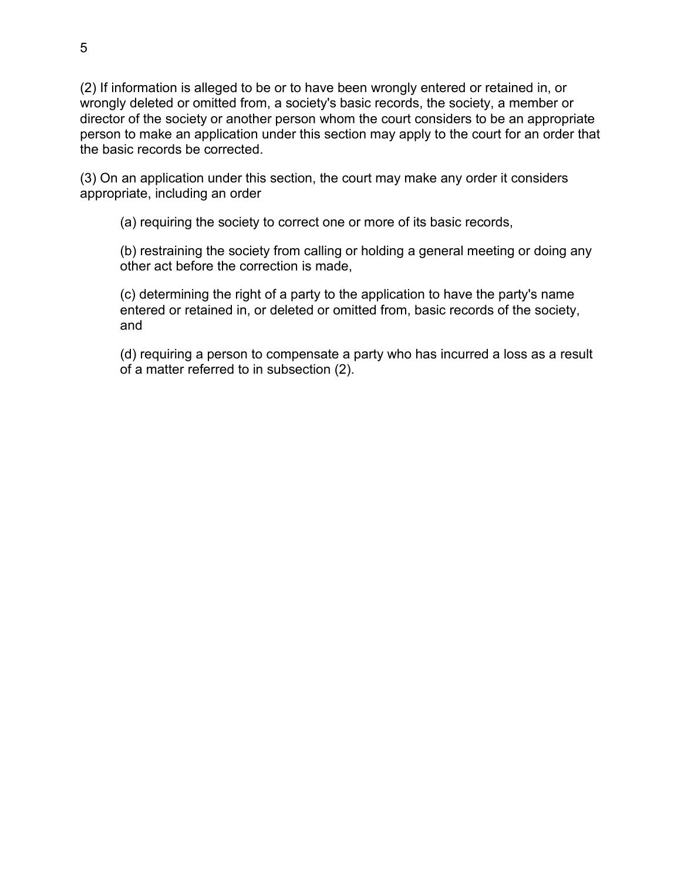(2) If information is alleged to be or to have been wrongly entered or retained in, or wrongly deleted or omitted from, a society's basic records, the society, a member or director of the society or another person whom the court considers to be an appropriate person to make an application under this section may apply to the court for an order that the basic records be corrected.

(3) On an application under this section, the court may make any order it considers appropriate, including an order

(a) requiring the society to correct one or more of its basic records,

(b) restraining the society from calling or holding a general meeting or doing any other act before the correction is made,

(c) determining the right of a party to the application to have the party's name entered or retained in, or deleted or omitted from, basic records of the society, and

(d) requiring a person to compensate a party who has incurred a loss as a result of a matter referred to in subsection (2).